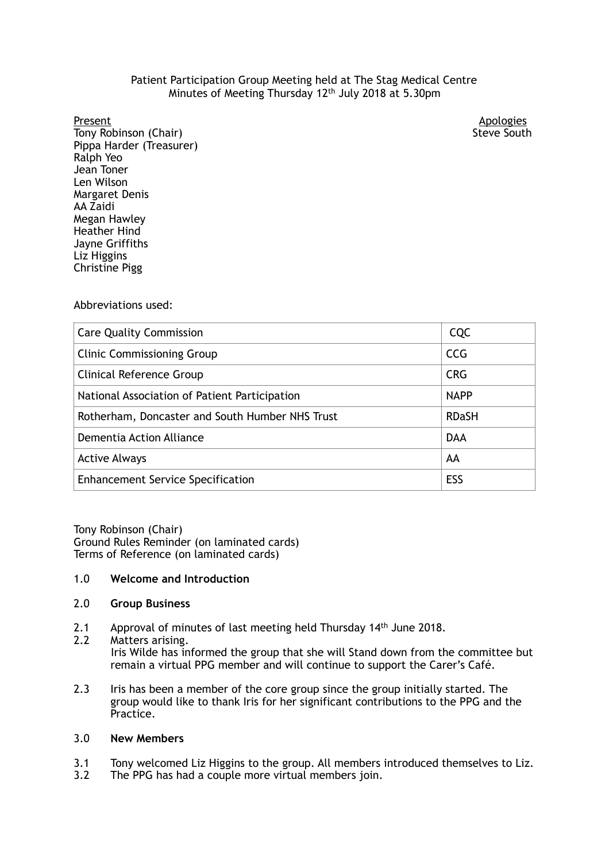# Patient Participation Group Meeting held at The Stag Medical Centre Minutes of Meeting Thursday 12<sup>th</sup> July 2018 at 5.30pm

#### Present

Tony Robinson (Chair) Steve South Pippa Harder (Treasurer) Ralph Yeo Margaret Denis Megan Hawley Liz Higgins Jean Toner Len Wilson AA Zaidi Heather Hind Jayne Griffiths Christine Pigg

Apologies<br>Steve South

#### Abbreviations used:

| <b>Care Quality Commission</b>                  | <b>CQC</b>   |
|-------------------------------------------------|--------------|
| <b>Clinic Commissioning Group</b>               | <b>CCG</b>   |
| Clinical Reference Group                        | <b>CRG</b>   |
| National Association of Patient Participation   | <b>NAPP</b>  |
| Rotherham, Doncaster and South Humber NHS Trust | <b>RDaSH</b> |
| Dementia Action Alliance                        | <b>DAA</b>   |
| <b>Active Always</b>                            | AA           |
| <b>Enhancement Service Specification</b>        | ESS          |

 Tony Robinson (Chair) Terms of Reference (on laminated cards) Ground Rules Reminder (on laminated cards)

### 1.0 **Welcome and Introduction**

#### 2.0 **Group Business**

- 2.1 Approval of minutes of last meeting held Thursday 14<sup>th</sup> June 2018.
- $2.2$  remain a virtual PPG member and will continue to support the Carer's Café. Matters arising. Iris Wilde has informed the group that she will Stand down from the committee but
- $2.3$  group would like to thank Iris for her significant contributions to the PPG and the Iris has been a member of the core group since the group initially started. The Practice.

#### 3.0 **New Members**

- $3.1$ 3.1 Tony welcomed Liz Higgins to the group. All members introduced themselves to Liz.
- 3.2 The PPG has had a couple more virtual members join.